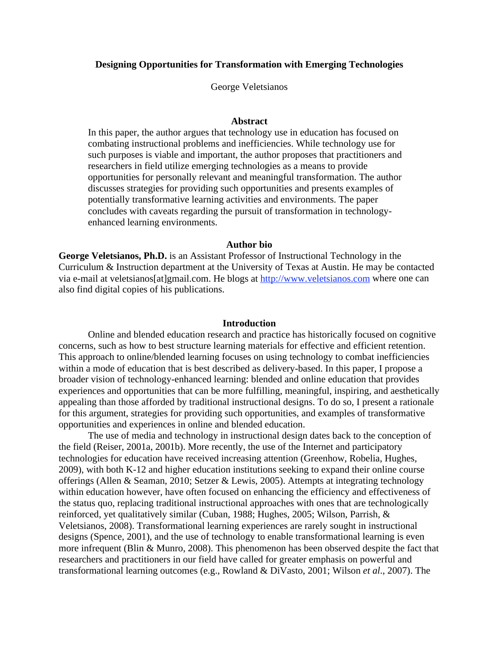## **Designing Opportunities for Transformation with Emerging Technologies**

George Veletsianos

## **Abstract**

In this paper, the author argues that technology use in education has focused on combating instructional problems and inefficiencies. While technology use for such purposes is viable and important, the author proposes that practitioners and researchers in field utilize emerging technologies as a means to provide opportunities for personally relevant and meaningful transformation. The author discusses strategies for providing such opportunities and presents examples of potentially transformative learning activities and environments. The paper concludes with caveats regarding the pursuit of transformation in technologyenhanced learning environments.

#### **Author bio**

**George Veletsianos, Ph.D.** is an Assistant Professor of Instructional Technology in the Curriculum & Instruction department at the University of Texas at Austin. He may be contacted via e-mail at veletsianos[at]gmail.com. He blogs at http://www.veletsianos.com where one can also find digital copies of his publications.

#### **Introduction**

Online and blended education research and practice has historically focused on cognitive concerns, such as how to best structure learning materials for effective and efficient retention. This approach to online/blended learning focuses on using technology to combat inefficiencies within a mode of education that is best described as delivery-based. In this paper, I propose a broader vision of technology-enhanced learning: blended and online education that provides experiences and opportunities that can be more fulfilling, meaningful, inspiring, and aesthetically appealing than those afforded by traditional instructional designs. To do so, I present a rationale for this argument, strategies for providing such opportunities, and examples of transformative opportunities and experiences in online and blended education.

The use of media and technology in instructional design dates back to the conception of the field (Reiser, 2001a, 2001b). More recently, the use of the Internet and participatory technologies for education have received increasing attention (Greenhow, Robelia, Hughes, 2009), with both K-12 and higher education institutions seeking to expand their online course offerings (Allen & Seaman, 2010; Setzer & Lewis, 2005). Attempts at integrating technology within education however, have often focused on enhancing the efficiency and effectiveness of the status quo, replacing traditional instructional approaches with ones that are technologically reinforced, yet qualitatively similar (Cuban, 1988; Hughes, 2005; Wilson, Parrish, & Veletsianos, 2008). Transformational learning experiences are rarely sought in instructional designs (Spence, 2001), and the use of technology to enable transformational learning is even more infrequent (Blin & Munro, 2008). This phenomenon has been observed despite the fact that researchers and practitioners in our field have called for greater emphasis on powerful and transformational learning outcomes (e.g., Rowland & DiVasto, 2001; Wilson *et al*., 2007). The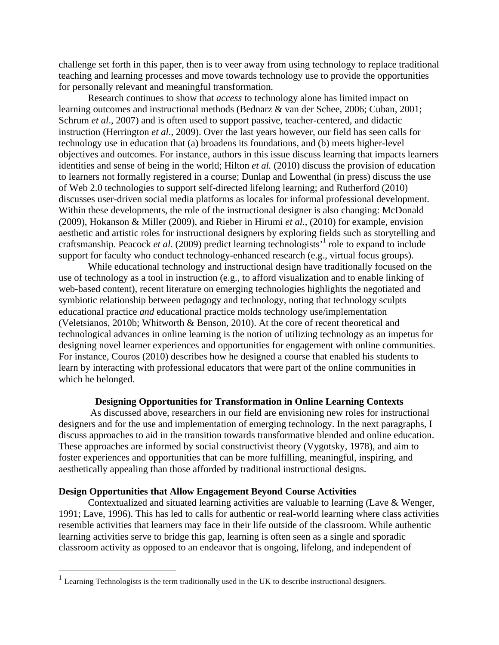challenge set forth in this paper, then is to veer away from using technology to replace traditional teaching and learning processes and move towards technology use to provide the opportunities for personally relevant and meaningful transformation.

Research continues to show that *access* to technology alone has limited impact on learning outcomes and instructional methods (Bednarz & van der Schee, 2006; Cuban, 2001; Schrum *et al.*, 2007) and is often used to support passive, teacher-centered, and didactic instruction (Herrington *et al*., 2009). Over the last years however, our field has seen calls for technology use in education that (a) broadens its foundations, and (b) meets higher-level objectives and outcomes. For instance, authors in this issue discuss learning that impacts learners identities and sense of being in the world; Hilton *et al.* (2010) discuss the provision of education to learners not formally registered in a course; Dunlap and Lowenthal (in press) discuss the use of Web 2.0 technologies to support self-directed lifelong learning; and Rutherford (2010) discusses user-driven social media platforms as locales for informal professional development. Within these developments, the role of the instructional designer is also changing: McDonald (2009), Hokanson & Miller (2009), and Rieber in Hirumi *et al*., (2010) for example, envision aesthetic and artistic roles for instructional designers by exploring fields such as storytelling and craftsmanship. Peacock *et al.* (2009) predict learning technologists<sup>1</sup> role to expand to include support for faculty who conduct technology-enhanced research (e.g., virtual focus groups).

While educational technology and instructional design have traditionally focused on the use of technology as a tool in instruction (e.g., to afford visualization and to enable linking of web-based content), recent literature on emerging technologies highlights the negotiated and symbiotic relationship between pedagogy and technology, noting that technology sculpts educational practice *and* educational practice molds technology use/implementation (Veletsianos, 2010b; Whitworth & Benson, 2010). At the core of recent theoretical and technological advances in online learning is the notion of utilizing technology as an impetus for designing novel learner experiences and opportunities for engagement with online communities. For instance, Couros (2010) describes how he designed a course that enabled his students to learn by interacting with professional educators that were part of the online communities in which he belonged.

#### **Designing Opportunities for Transformation in Online Learning Contexts**

 As discussed above, researchers in our field are envisioning new roles for instructional designers and for the use and implementation of emerging technology. In the next paragraphs, I discuss approaches to aid in the transition towards transformative blended and online education. These approaches are informed by social constructivist theory (Vygotsky, 1978), and aim to foster experiences and opportunities that can be more fulfilling, meaningful, inspiring, and aesthetically appealing than those afforded by traditional instructional designs.

#### **Design Opportunities that Allow Engagement Beyond Course Activities**

 Contextualized and situated learning activities are valuable to learning (Lave & Wenger, 1991; Lave, 1996). This has led to calls for authentic or real-world learning where class activities resemble activities that learners may face in their life outside of the classroom. While authentic learning activities serve to bridge this gap, learning is often seen as a single and sporadic classroom activity as opposed to an endeavor that is ongoing, lifelong, and independent of

 $1$  Learning Technologists is the term traditionally used in the UK to describe instructional designers.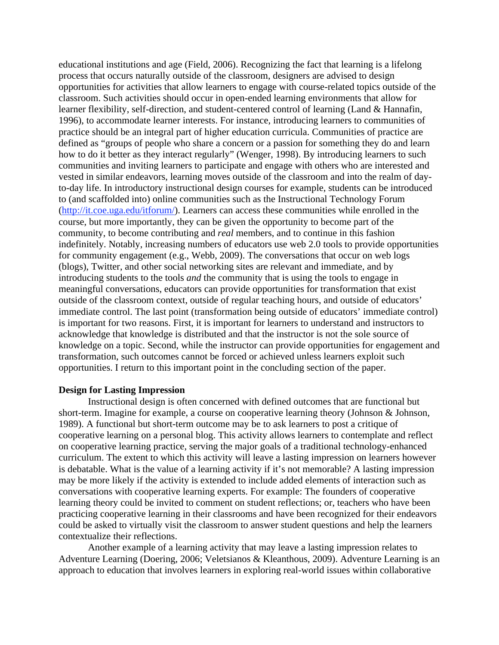educational institutions and age (Field, 2006). Recognizing the fact that learning is a lifelong process that occurs naturally outside of the classroom, designers are advised to design opportunities for activities that allow learners to engage with course-related topics outside of the classroom. Such activities should occur in open-ended learning environments that allow for learner flexibility, self-direction, and student-centered control of learning (Land & Hannafin, 1996), to accommodate learner interests. For instance, introducing learners to communities of practice should be an integral part of higher education curricula. Communities of practice are defined as "groups of people who share a concern or a passion for something they do and learn how to do it better as they interact regularly" (Wenger, 1998). By introducing learners to such communities and inviting learners to participate and engage with others who are interested and vested in similar endeavors, learning moves outside of the classroom and into the realm of dayto-day life. In introductory instructional design courses for example, students can be introduced to (and scaffolded into) online communities such as the Instructional Technology Forum (http://it.coe.uga.edu/itforum/). Learners can access these communities while enrolled in the course, but more importantly, they can be given the opportunity to become part of the community, to become contributing and *real* members, and to continue in this fashion indefinitely. Notably, increasing numbers of educators use web 2.0 tools to provide opportunities for community engagement (e.g., Webb, 2009). The conversations that occur on web logs (blogs), Twitter, and other social networking sites are relevant and immediate, and by introducing students to the tools *and* the community that is using the tools to engage in meaningful conversations, educators can provide opportunities for transformation that exist outside of the classroom context, outside of regular teaching hours, and outside of educators' immediate control. The last point (transformation being outside of educators' immediate control) is important for two reasons. First, it is important for learners to understand and instructors to acknowledge that knowledge is distributed and that the instructor is not the sole source of knowledge on a topic. Second, while the instructor can provide opportunities for engagement and transformation, such outcomes cannot be forced or achieved unless learners exploit such opportunities. I return to this important point in the concluding section of the paper.

### **Design for Lasting Impression**

Instructional design is often concerned with defined outcomes that are functional but short-term. Imagine for example, a course on cooperative learning theory (Johnson & Johnson, 1989). A functional but short-term outcome may be to ask learners to post a critique of cooperative learning on a personal blog. This activity allows learners to contemplate and reflect on cooperative learning practice, serving the major goals of a traditional technology-enhanced curriculum. The extent to which this activity will leave a lasting impression on learners however is debatable. What is the value of a learning activity if it's not memorable? A lasting impression may be more likely if the activity is extended to include added elements of interaction such as conversations with cooperative learning experts. For example: The founders of cooperative learning theory could be invited to comment on student reflections; or, teachers who have been practicing cooperative learning in their classrooms and have been recognized for their endeavors could be asked to virtually visit the classroom to answer student questions and help the learners contextualize their reflections.

 Another example of a learning activity that may leave a lasting impression relates to Adventure Learning (Doering, 2006; Veletsianos & Kleanthous, 2009). Adventure Learning is an approach to education that involves learners in exploring real-world issues within collaborative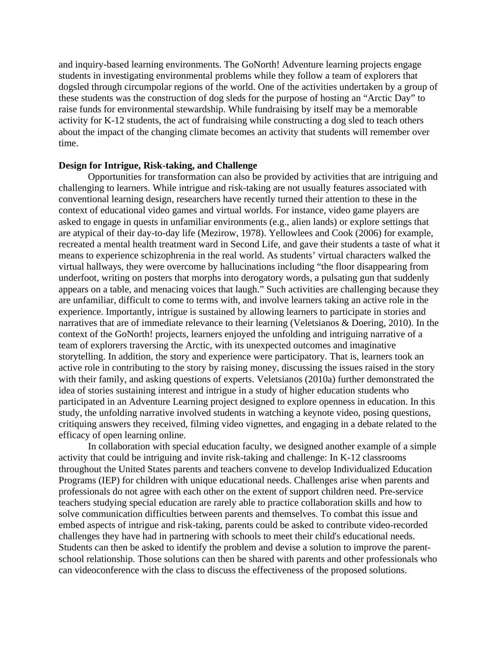and inquiry-based learning environments. The GoNorth! Adventure learning projects engage students in investigating environmental problems while they follow a team of explorers that dogsled through circumpolar regions of the world. One of the activities undertaken by a group of these students was the construction of dog sleds for the purpose of hosting an "Arctic Day" to raise funds for environmental stewardship. While fundraising by itself may be a memorable activity for K-12 students, the act of fundraising while constructing a dog sled to teach others about the impact of the changing climate becomes an activity that students will remember over time.

## **Design for Intrigue, Risk-taking, and Challenge**

 Opportunities for transformation can also be provided by activities that are intriguing and challenging to learners. While intrigue and risk-taking are not usually features associated with conventional learning design, researchers have recently turned their attention to these in the context of educational video games and virtual worlds. For instance, video game players are asked to engage in quests in unfamiliar environments (e.g., alien lands) or explore settings that are atypical of their day-to-day life (Mezirow, 1978). Yellowlees and Cook (2006) for example, recreated a mental health treatment ward in Second Life, and gave their students a taste of what it means to experience schizophrenia in the real world. As students' virtual characters walked the virtual hallways, they were overcome by hallucinations including "the floor disappearing from underfoot, writing on posters that morphs into derogatory words, a pulsating gun that suddenly appears on a table, and menacing voices that laugh." Such activities are challenging because they are unfamiliar, difficult to come to terms with, and involve learners taking an active role in the experience. Importantly, intrigue is sustained by allowing learners to participate in stories and narratives that are of immediate relevance to their learning (Veletsianos & Doering, 2010). In the context of the GoNorth! projects, learners enjoyed the unfolding and intriguing narrative of a team of explorers traversing the Arctic, with its unexpected outcomes and imaginative storytelling. In addition, the story and experience were participatory. That is, learners took an active role in contributing to the story by raising money, discussing the issues raised in the story with their family, and asking questions of experts. Veletsianos (2010a) further demonstrated the idea of stories sustaining interest and intrigue in a study of higher education students who participated in an Adventure Learning project designed to explore openness in education. In this study, the unfolding narrative involved students in watching a keynote video, posing questions, critiquing answers they received, filming video vignettes, and engaging in a debate related to the efficacy of open learning online.

 In collaboration with special education faculty, we designed another example of a simple activity that could be intriguing and invite risk-taking and challenge: In K-12 classrooms throughout the United States parents and teachers convene to develop Individualized Education Programs (IEP) for children with unique educational needs. Challenges arise when parents and professionals do not agree with each other on the extent of support children need. Pre-service teachers studying special education are rarely able to practice collaboration skills and how to solve communication difficulties between parents and themselves. To combat this issue and embed aspects of intrigue and risk-taking, parents could be asked to contribute video-recorded challenges they have had in partnering with schools to meet their child's educational needs. Students can then be asked to identify the problem and devise a solution to improve the parentschool relationship. Those solutions can then be shared with parents and other professionals who can videoconference with the class to discuss the effectiveness of the proposed solutions.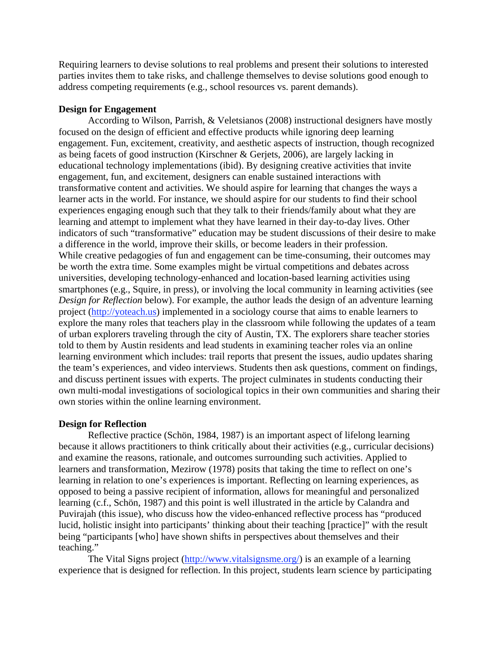Requiring learners to devise solutions to real problems and present their solutions to interested parties invites them to take risks, and challenge themselves to devise solutions good enough to address competing requirements (e.g., school resources vs. parent demands).

# **Design for Engagement**

 According to Wilson, Parrish, & Veletsianos (2008) instructional designers have mostly focused on the design of efficient and effective products while ignoring deep learning engagement. Fun, excitement, creativity, and aesthetic aspects of instruction, though recognized as being facets of good instruction (Kirschner & Gerjets, 2006), are largely lacking in educational technology implementations (ibid). By designing creative activities that invite engagement, fun, and excitement, designers can enable sustained interactions with transformative content and activities. We should aspire for learning that changes the ways a learner acts in the world. For instance, we should aspire for our students to find their school experiences engaging enough such that they talk to their friends/family about what they are learning and attempt to implement what they have learned in their day-to-day lives. Other indicators of such "transformative" education may be student discussions of their desire to make a difference in the world, improve their skills, or become leaders in their profession. While creative pedagogies of fun and engagement can be time-consuming, their outcomes may be worth the extra time. Some examples might be virtual competitions and debates across universities, developing technology-enhanced and location-based learning activities using smartphones (e.g., Squire, in press), or involving the local community in learning activities (see *Design for Reflection* below). For example, the author leads the design of an adventure learning project (http://yoteach.us) implemented in a sociology course that aims to enable learners to explore the many roles that teachers play in the classroom while following the updates of a team of urban explorers traveling through the city of Austin, TX. The explorers share teacher stories told to them by Austin residents and lead students in examining teacher roles via an online learning environment which includes: trail reports that present the issues, audio updates sharing the team's experiences, and video interviews. Students then ask questions, comment on findings, and discuss pertinent issues with experts. The project culminates in students conducting their own multi-modal investigations of sociological topics in their own communities and sharing their own stories within the online learning environment.

### **Design for Reflection**

 Reflective practice (Schön, 1984, 1987) is an important aspect of lifelong learning because it allows practitioners to think critically about their activities (e.g., curricular decisions) and examine the reasons, rationale, and outcomes surrounding such activities. Applied to learners and transformation, Mezirow (1978) posits that taking the time to reflect on one's learning in relation to one's experiences is important. Reflecting on learning experiences, as opposed to being a passive recipient of information, allows for meaningful and personalized learning (c.f., Schön, 1987) and this point is well illustrated in the article by Calandra and Puvirajah (this issue), who discuss how the video-enhanced reflective process has "produced lucid, holistic insight into participants' thinking about their teaching [practice]" with the result being "participants [who] have shown shifts in perspectives about themselves and their teaching."

The Vital Signs project (http://www.vitalsignsme.org/) is an example of a learning experience that is designed for reflection. In this project, students learn science by participating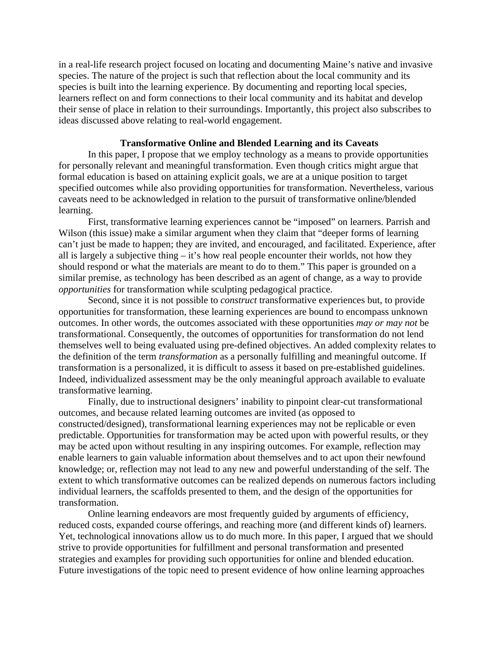in a real-life research project focused on locating and documenting Maine's native and invasive species. The nature of the project is such that reflection about the local community and its species is built into the learning experience. By documenting and reporting local species, learners reflect on and form connections to their local community and its habitat and develop their sense of place in relation to their surroundings. Importantly, this project also subscribes to ideas discussed above relating to real-world engagement.

### **Transformative Online and Blended Learning and its Caveats**

In this paper, I propose that we employ technology as a means to provide opportunities for personally relevant and meaningful transformation. Even though critics might argue that formal education is based on attaining explicit goals, we are at a unique position to target specified outcomes while also providing opportunities for transformation. Nevertheless, various caveats need to be acknowledged in relation to the pursuit of transformative online/blended learning.

First, transformative learning experiences cannot be "imposed" on learners. Parrish and Wilson (this issue) make a similar argument when they claim that "deeper forms of learning can't just be made to happen; they are invited, and encouraged, and facilitated. Experience, after all is largely a subjective thing – it's how real people encounter their worlds, not how they should respond or what the materials are meant to do to them." This paper is grounded on a similar premise, as technology has been described as an agent of change, as a way to provide *opportunities* for transformation while sculpting pedagogical practice.

Second, since it is not possible to *construct* transformative experiences but, to provide opportunities for transformation, these learning experiences are bound to encompass unknown outcomes. In other words, the outcomes associated with these opportunities *may or may not* be transformational. Consequently, the outcomes of opportunities for transformation do not lend themselves well to being evaluated using pre-defined objectives. An added complexity relates to the definition of the term *transformation* as a personally fulfilling and meaningful outcome. If transformation is a personalized, it is difficult to assess it based on pre-established guidelines. Indeed, individualized assessment may be the only meaningful approach available to evaluate transformative learning.

Finally, due to instructional designers' inability to pinpoint clear-cut transformational outcomes, and because related learning outcomes are invited (as opposed to constructed/designed), transformational learning experiences may not be replicable or even predictable. Opportunities for transformation may be acted upon with powerful results, or they may be acted upon without resulting in any inspiring outcomes. For example, reflection may enable learners to gain valuable information about themselves and to act upon their newfound knowledge; or, reflection may not lead to any new and powerful understanding of the self. The extent to which transformative outcomes can be realized depends on numerous factors including individual learners, the scaffolds presented to them, and the design of the opportunities for transformation.

Online learning endeavors are most frequently guided by arguments of efficiency, reduced costs, expanded course offerings, and reaching more (and different kinds of) learners. Yet, technological innovations allow us to do much more. In this paper, I argued that we should strive to provide opportunities for fulfillment and personal transformation and presented strategies and examples for providing such opportunities for online and blended education. Future investigations of the topic need to present evidence of how online learning approaches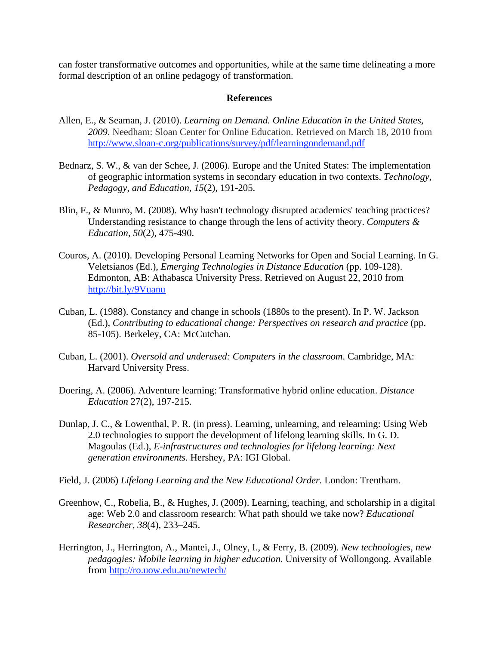can foster transformative outcomes and opportunities, while at the same time delineating a more formal description of an online pedagogy of transformation.

# **References**

- Allen, E., & Seaman, J. (2010). *Learning on Demand. Online Education in the United States, 2009*. Needham: Sloan Center for Online Education. Retrieved on March 18, 2010 from http://www.sloan-c.org/publications/survey/pdf/learningondemand.pdf
- Bednarz, S. W., & van der Schee, J. (2006). Europe and the United States: The implementation of geographic information systems in secondary education in two contexts. *Technology, Pedagogy, and Education, 15*(2), 191-205.
- Blin, F., & Munro, M. (2008). Why hasn't technology disrupted academics' teaching practices? Understanding resistance to change through the lens of activity theory. *Computers & Education, 50*(2), 475-490.
- Couros, A. (2010). Developing Personal Learning Networks for Open and Social Learning. In G. Veletsianos (Ed.), *Emerging Technologies in Distance Education* (pp. 109-128). Edmonton, AB: Athabasca University Press. Retrieved on August 22, 2010 from http://bit.ly/9Vuanu
- Cuban, L. (1988). Constancy and change in schools (1880s to the present). In P. W. Jackson (Ed.), *Contributing to educational change: Perspectives on research and practice* (pp. 85-105). Berkeley, CA: McCutchan.
- Cuban, L. (2001). *Oversold and underused: Computers in the classroom*. Cambridge, MA: Harvard University Press.
- Doering, A. (2006). Adventure learning: Transformative hybrid online education. *Distance Education* 27(2), 197-215.
- Dunlap, J. C., & Lowenthal, P. R. (in press). Learning, unlearning, and relearning: Using Web 2.0 technologies to support the development of lifelong learning skills. In G. D. Magoulas (Ed.), *E-infrastructures and technologies for lifelong learning: Next generation environments*. Hershey, PA: IGI Global.
- Field, J. (2006) *Lifelong Learning and the New Educational Order.* London: Trentham.
- Greenhow, C., Robelia, B., & Hughes, J. (2009). Learning, teaching, and scholarship in a digital age: Web 2.0 and classroom research: What path should we take now? *Educational Researcher, 38*(4), 233–245.
- Herrington, J., Herrington, A., Mantei, J., Olney, I., & Ferry, B. (2009). *New technologies, new pedagogies: Mobile learning in higher education*. University of Wollongong. Available from http://ro.uow.edu.au/newtech/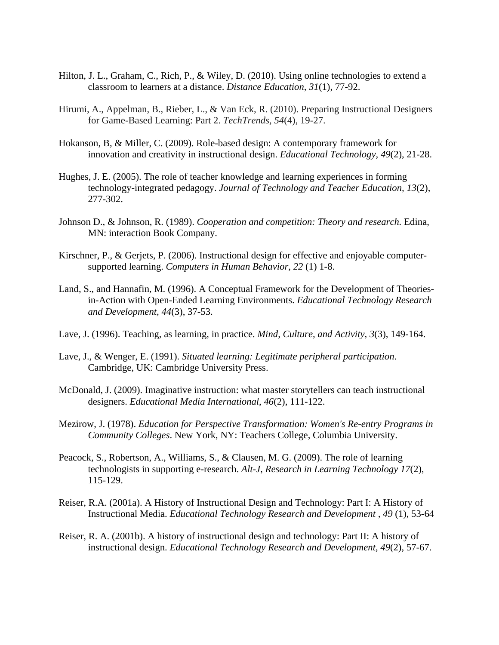- Hilton, J. L., Graham, C., Rich, P., & Wiley, D. (2010). Using online technologies to extend a classroom to learners at a distance. *Distance Education*, *31*(1), 77-92.
- Hirumi, A., Appelman, B., Rieber, L., & Van Eck, R. (2010). Preparing Instructional Designers for Game-Based Learning: Part 2. *TechTrends, 54*(4), 19-27.
- Hokanson, B, & Miller, C. (2009). Role-based design: A contemporary framework for innovation and creativity in instructional design. *Educational Technology, 49*(2), 21-28.
- Hughes, J. E. (2005). The role of teacher knowledge and learning experiences in forming technology-integrated pedagogy. *Journal of Technology and Teacher Education, 13*(2), 277-302.
- Johnson D., & Johnson, R. (1989). *Cooperation and competition: Theory and research.* Edina, MN: interaction Book Company.
- Kirschner, P., & Gerjets, P. (2006). Instructional design for effective and enjoyable computersupported learning. *Computers in Human Behavior, 22* (1) 1-8.
- Land, S., and Hannafin, M. (1996). A Conceptual Framework for the Development of Theoriesin-Action with Open-Ended Learning Environments. *Educational Technology Research and Development, 44*(3), 37-53.
- Lave, J. (1996). Teaching, as learning, in practice. *Mind, Culture, and Activity, 3*(3), 149-164.
- Lave, J., & Wenger, E. (1991). *Situated learning: Legitimate peripheral participation*. Cambridge, UK: Cambridge University Press.
- McDonald, J. (2009). Imaginative instruction: what master storytellers can teach instructional designers. *Educational Media International*, *46*(2), 111-122.
- Mezirow, J. (1978). *Education for Perspective Transformation: Women's Re-entry Programs in Community Colleges*. New York, NY: Teachers College, Columbia University.
- Peacock, S., Robertson, A., Williams, S., & Clausen, M. G. (2009). The role of learning technologists in supporting e-research. *Alt-J*, *Research in Learning Technology 17*(2), 115-129.
- Reiser, R.A. (2001a). A History of Instructional Design and Technology: Part I: A History of Instructional Media. *Educational Technology Research and Development , 49* (1), 53-64
- Reiser, R. A. (2001b). A history of instructional design and technology: Part II: A history of instructional design. *Educational Technology Research and Development, 49*(2), 57-67.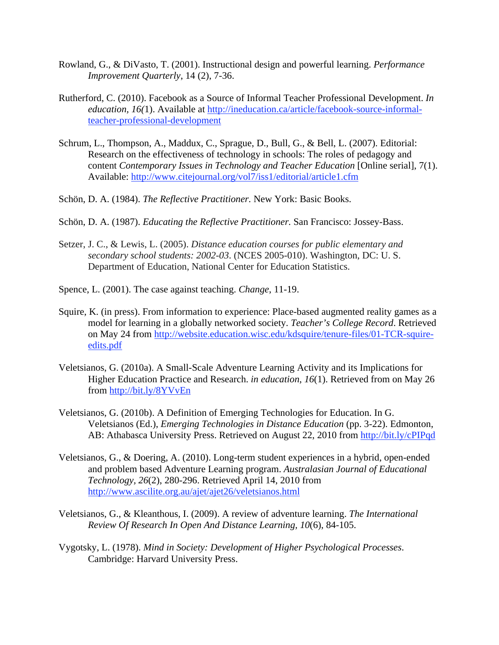- Rowland, G., & DiVasto, T. (2001). Instructional design and powerful learning. *Performance Improvement Quarterly*, 14 (2), 7-36.
- Rutherford, C. (2010). Facebook as a Source of Informal Teacher Professional Development. *In education, 16(*1). Available at http://ineducation.ca/article/facebook-source-informalteacher-professional-development
- Schrum, L., Thompson, A., Maddux, C., Sprague, D., Bull, G., & Bell, L. (2007). Editorial: Research on the effectiveness of technology in schools: The roles of pedagogy and content *Contemporary Issues in Technology and Teacher Education* [Online serial], 7(1). Available: http://www.citejournal.org/vol7/iss1/editorial/article1.cfm
- Schön, D. A. (1984). *The Reflective Practitioner.* New York: Basic Books.
- Schön, D. A. (1987). *Educating the Reflective Practitioner.* San Francisco: Jossey-Bass.
- Setzer, J. C., & Lewis, L. (2005). *Distance education courses for public elementary and secondary school students: 2002-03*. (NCES 2005-010). Washington, DC: U. S. Department of Education, National Center for Education Statistics.
- Spence, L. (2001). The case against teaching. *Change*, 11-19.
- Squire, K. (in press). From information to experience: Place-based augmented reality games as a model for learning in a globally networked society. *Teacher's College Record*. Retrieved on May 24 from http://website.education.wisc.edu/kdsquire/tenure-files/01-TCR-squireedits.pdf
- Veletsianos, G. (2010a). A Small-Scale Adventure Learning Activity and its Implications for Higher Education Practice and Research. *in education*, *16*(1). Retrieved from on May 26 from http://bit.ly/8YVvEn
- Veletsianos, G. (2010b). A Definition of Emerging Technologies for Education. In G. Veletsianos (Ed.), *Emerging Technologies in Distance Education* (pp. 3-22). Edmonton, AB: Athabasca University Press. Retrieved on August 22, 2010 from http://bit.ly/cPIPqd
- Veletsianos, G., & Doering, A. (2010). Long-term student experiences in a hybrid, open-ended and problem based Adventure Learning program. *Australasian Journal of Educational Technology, 26*(2), 280-296. Retrieved April 14, 2010 from http://www.ascilite.org.au/ajet/ajet26/veletsianos.html
- Veletsianos, G., & Kleanthous, I. (2009). A review of adventure learning. *The International Review Of Research In Open And Distance Learning, 10*(6), 84-105.
- Vygotsky, L. (1978). *Mind in Society: Development of Higher Psychological Processes*. Cambridge: Harvard University Press.